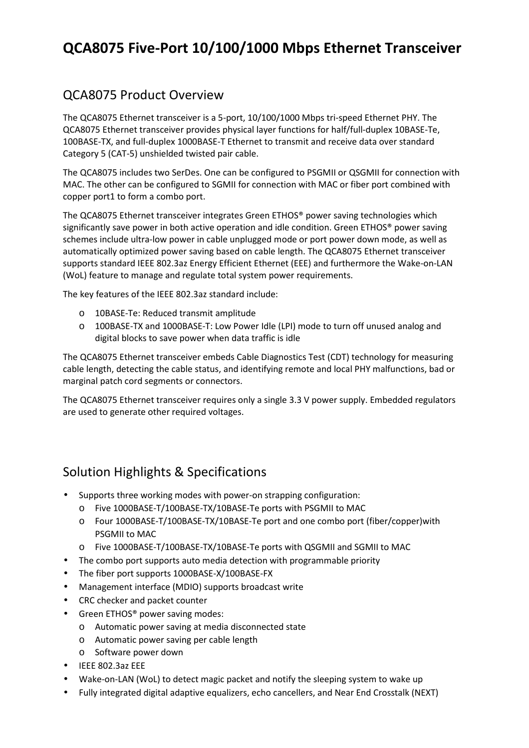# **QCA8075 Five-Port 10/100/1000 Mbps Ethernet Transceiver**

### QCA8075 Product Overview

The QCA8075 Ethernet transceiver is a 5-port, 10/100/1000 Mbps tri-speed Ethernet PHY. The QCA8075 Ethernet transceiver provides physical layer functions for half/full-duplex 10BASE-Te, 100BASE-TX, and full-duplex 1000BASE-T Ethernet to transmit and receive data over standard Category 5 (CAT-5) unshielded twisted pair cable.

The QCA8075 includes two SerDes. One can be configured to PSGMII or QSGMII for connection with MAC. The other can be configured to SGMII for connection with MAC or fiber port combined with copper port1 to form a combo port.

The QCA8075 Ethernet transceiver integrates Green ETHOS® power saving technologies which significantly save power in both active operation and idle condition. Green ETHOS® power saving schemes include ultra-low power in cable unplugged mode or port power down mode, as well as automatically optimized power saving based on cable length. The QCA8075 Ethernet transceiver supports standard IEEE 802.3az Energy Efficient Ethernet (EEE) and furthermore the Wake-on-LAN (WoL) feature to manage and regulate total system power requirements.

The key features of the IEEE 802.3az standard include:

- o 10BASE-Te: Reduced transmit amplitude
- o 100BASE-TX and 1000BASE-T: Low Power Idle (LPI) mode to turn off unused analog and digital blocks to save power when data traffic is idle

The QCA8075 Ethernet transceiver embeds Cable Diagnostics Test (CDT) technology for measuring cable length, detecting the cable status, and identifying remote and local PHY malfunctions, bad or marginal patch cord segments or connectors.

The QCA8075 Ethernet transceiver requires only a single 3.3 V power supply. Embedded regulators are used to generate other required voltages.

### Solution Highlights & Specifications

- Supports three working modes with power-on strapping configuration:
	- o Five 1000BASE-T/100BASE-TX/10BASE-Te ports with PSGMII to MAC
	- o Four 1000BASE-T/100BASE-TX/10BASE-Te port and one combo port (fiber/copper)with PSGMII to MAC
	- o Five 1000BASE-T/100BASE-TX/10BASE-Te ports with QSGMII and SGMII to MAC
- The combo port supports auto media detection with programmable priority
- The fiber port supports 1000BASE-X/100BASE-FX
- Management interface (MDIO) supports broadcast write
- CRC checker and packet counter
- Green ETHOS<sup>®</sup> power saving modes:
	- o Automatic power saving at media disconnected state
	- o Automatic power saving per cable length
	- o Software power down
- IEEE 802.3az EEE
- Wake-on-LAN (WoL) to detect magic packet and notify the sleeping system to wake up
- Fully integrated digital adaptive equalizers, echo cancellers, and Near End Crosstalk (NEXT)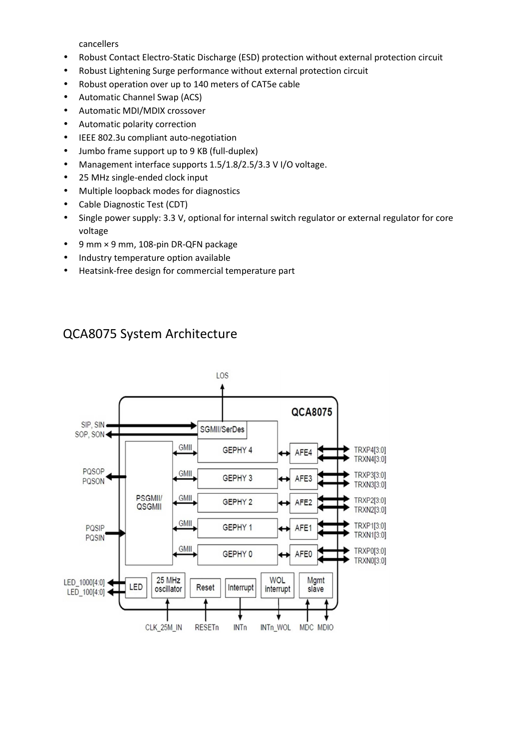cancellers

- Robust Contact Electro-Static Discharge (ESD) protection without external protection circuit
- Robust Lightening Surge performance without external protection circuit
- Robust operation over up to 140 meters of CAT5e cable
- Automatic Channel Swap (ACS)
- Automatic MDI/MDIX crossover
- Automatic polarity correction
- IEEE 802.3u compliant auto-negotiation
- Jumbo frame support up to 9 KB (full-duplex)
- Management interface supports 1.5/1.8/2.5/3.3 V I/O voltage.
- 25 MHz single-ended clock input
- Multiple loopback modes for diagnostics
- Cable Diagnostic Test (CDT)
- Single power supply: 3.3 V, optional for internal switch regulator or external regulator for core voltage
- 9 mm × 9 mm, 108-pin DR-QFN package
- Industry temperature option available
- Heatsink-free design for commercial temperature part

### QCA8075 System Architecture